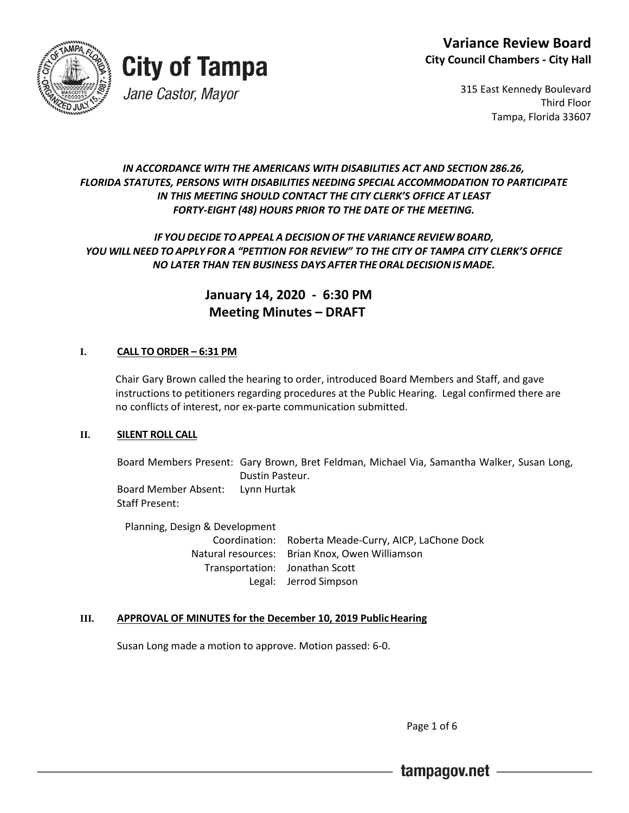



315 East Kennedy Boulevard Third Floor Tampa, Florida 33607

### *IN ACCORDANCE WITH THE AMERICANS WITH DISABILITIES ACT AND SECTION 286.26, FLORIDA STATUTES, PERSONS WITH DISABILITIES NEEDING SPECIAL ACCOMMODATION TO PARTICIPATE IN THIS MEETING SHOULD CONTACT THE CITY CLERK'S OFFICE AT LEAST FORTY-EIGHT (48) HOURS PRIOR TO THE DATE OF THE MEETING.*

# *IF YOUDECIDE TOAPPEAL A DECISION OF THE VARIANCE REVIEW BOARD, YOU WILL NEED TO APPLY FOR A "PETITION FOR REVIEW" TO THE CITY OF TAMPA CITY CLERK'S OFFICE NO LATER THAN TEN BUSINESS DAYS AFTER THEORALDECISIONIS MADE.*

 **January 14, 2020 - 6:30 PM Meeting Minutes – DRAFT** 

## **I. CALL TO ORDER – 6:31 PM**

Chair Gary Brown called the hearing to order, introduced Board Members and Staff, and gave instructions to petitioners regarding procedures at the Public Hearing. Legal confirmed there are no conflicts of interest, nor ex-parte communication submitted.

### **II. SILENT ROLL CALL**

Board Members Present: Gary Brown, Bret Feldman, Michael Via, Samantha Walker, Susan Long, Dustin Pasteur. Board Member Absent: Lynn Hurtak Staff Present:

Planning, Design & Development Coordination: Roberta Meade-Curry, AICP, LaChone Dock Natural resources: Brian Knox, Owen Williamson Transportation: Jonathan Scott Legal: Jerrod Simpson

### **III. APPROVAL OF MINUTES for the December 10, 2019 PublicHearing**

Susan Long made a motion to approve. Motion passed: 6-0.

Page 1 of 6

tampagov.net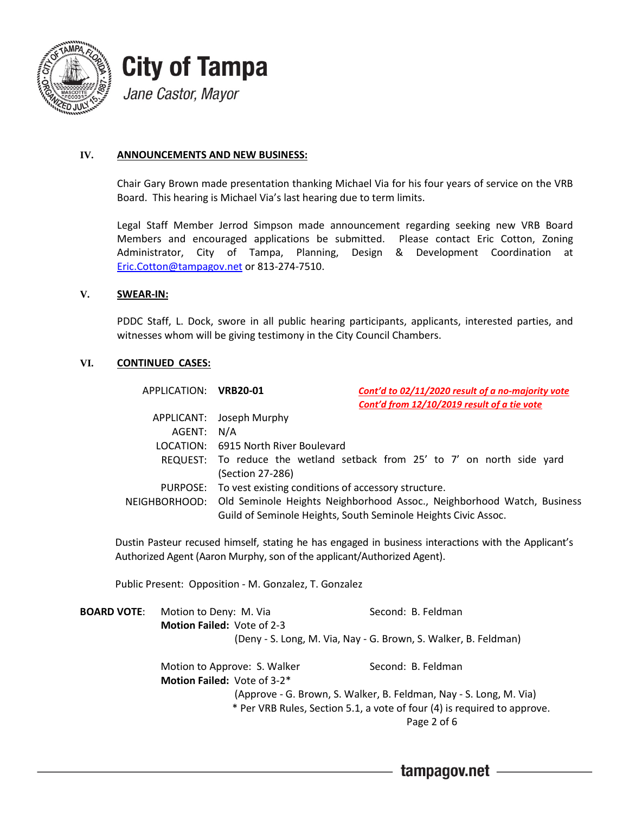

### **IV. ANNOUNCEMENTS AND NEW BUSINESS:**

Chair Gary Brown made presentation thanking Michael Via for his four years of service on the VRB Board. This hearing is Michael Via's last hearing due to term limits.

Legal Staff Member Jerrod Simpson made announcement regarding seeking new VRB Board Members and encouraged applications be submitted. Please contact Eric Cotton, Zoning Administrator, City of Tampa, Planning, Design & Development Coordination at [Eric.Cotton@tampagov.net](mailto:Eric.Cotton@tampagov.net) or 813-274-7510.

#### **V. SWEAR-IN:**

PDDC Staff, L. Dock, swore in all public hearing participants, applicants, interested parties, and witnesses whom will be giving testimony in the City Council Chambers.

### **VI. CONTINUED CASES:**

| APPLICATION: VRB20-01 | Cont'd to 02/11/2020 result of a no-majority vote                                    |  |  |
|-----------------------|--------------------------------------------------------------------------------------|--|--|
|                       | Cont'd from 12/10/2019 result of a tie vote                                          |  |  |
|                       | APPLICANT: Joseph Murphy                                                             |  |  |
| AGENT: N/A            |                                                                                      |  |  |
|                       | LOCATION: 6915 North River Boulevard                                                 |  |  |
|                       | REQUEST: To reduce the wetland setback from 25' to 7' on north side yard             |  |  |
|                       | (Section 27-286)                                                                     |  |  |
|                       | PURPOSE: To vest existing conditions of accessory structure.                         |  |  |
|                       | NEIGHBORHOOD: Old Seminole Heights Neighborhood Assoc., Neighborhood Watch, Business |  |  |
|                       | Guild of Seminole Heights, South Seminole Heights Civic Assoc.                       |  |  |

Dustin Pasteur recused himself, stating he has engaged in business interactions with the Applicant's Authorized Agent (Aaron Murphy, son of the applicant/Authorized Agent).

Public Present: Opposition - M. Gonzalez, T. Gonzalez

| <b>BOARD VOTE:</b> | Motion to Deny: M. Via                                                   | Second: B. Feldman |  |  |  |
|--------------------|--------------------------------------------------------------------------|--------------------|--|--|--|
|                    | Motion Failed: Vote of 2-3                                               |                    |  |  |  |
|                    | (Deny - S. Long, M. Via, Nay - G. Brown, S. Walker, B. Feldman)          |                    |  |  |  |
|                    | Motion to Approve: S. Walker                                             | Second: B. Feldman |  |  |  |
|                    | Motion Failed: Vote of 3-2*                                              |                    |  |  |  |
|                    | (Approve - G. Brown, S. Walker, B. Feldman, Nay - S. Long, M. Via)       |                    |  |  |  |
|                    | * Per VRB Rules, Section 5.1, a vote of four (4) is required to approve. |                    |  |  |  |
|                    |                                                                          | Page 2 of 6        |  |  |  |
|                    |                                                                          |                    |  |  |  |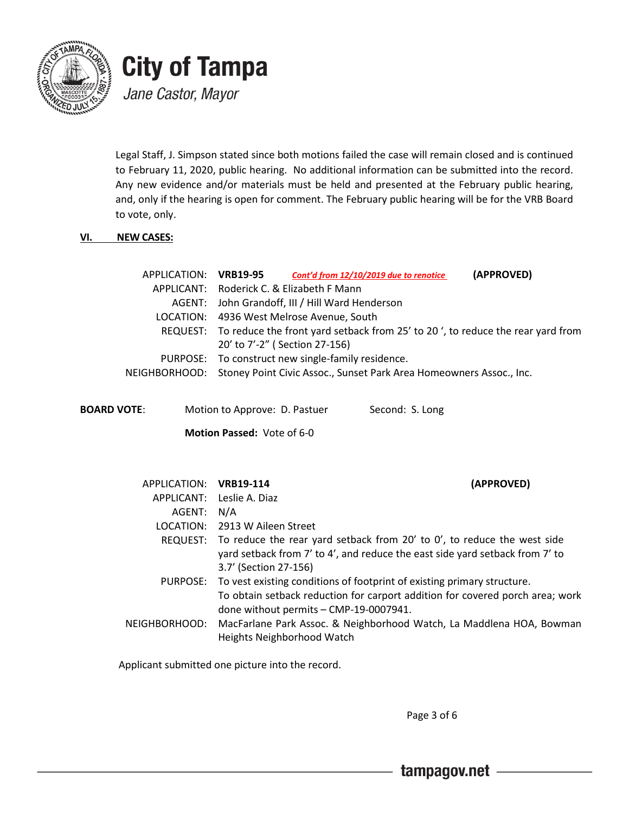

Legal Staff, J. Simpson stated since both motions failed the case will remain closed and is continued to February 11, 2020, public hearing. No additional information can be submitted into the record. Any new evidence and/or materials must be held and presented at the February public hearing, and, only if the hearing is open for comment. The February public hearing will be for the VRB Board to vote, only.

### **VI. NEW CASES:**

| APPLICATION: VRB19-95 |                                                                                         | Cont'd from 12/10/2019 due to renotice                                            | (APPROVED) |
|-----------------------|-----------------------------------------------------------------------------------------|-----------------------------------------------------------------------------------|------------|
|                       |                                                                                         | APPLICANT: Roderick C. & Elizabeth F Mann                                         |            |
|                       | AGENT: John Grandoff, III / Hill Ward Henderson                                         |                                                                                   |            |
|                       | LOCATION: 4936 West Melrose Avenue, South                                               |                                                                                   |            |
|                       | REQUEST: To reduce the front yard setback from 25' to 20', to reduce the rear yard from |                                                                                   |            |
|                       |                                                                                         | 20' to 7'-2" (Section 27-156)                                                     |            |
|                       |                                                                                         | PURPOSE: To construct new single-family residence.                                |            |
|                       |                                                                                         | NEIGHBORHOOD: Stoney Point Civic Assoc., Sunset Park Area Homeowners Assoc., Inc. |            |
|                       |                                                                                         |                                                                                   |            |

**Motion Passed:** Vote of 6-0

| APPLICATION: VRB19-114 | (APPROVED)                                                                         |  |
|------------------------|------------------------------------------------------------------------------------|--|
|                        | APPLICANT: Leslie A. Diaz                                                          |  |
| AGENT:                 | N/A                                                                                |  |
|                        | LOCATION: 2913 W Aileen Street                                                     |  |
|                        | REQUEST: To reduce the rear yard setback from 20' to 0', to reduce the west side   |  |
|                        | yard setback from 7' to 4', and reduce the east side yard setback from 7' to       |  |
|                        | 3.7' (Section 27-156)                                                              |  |
|                        | PURPOSE: To vest existing conditions of footprint of existing primary structure.   |  |
|                        | To obtain setback reduction for carport addition for covered porch area; work      |  |
|                        | done without permits - CMP-19-0007941.                                             |  |
|                        | NEIGHBORHOOD: MacFarlane Park Assoc. & Neighborhood Watch, La Maddlena HOA, Bowman |  |
|                        | Heights Neighborhood Watch                                                         |  |

Applicant submitted one picture into the record.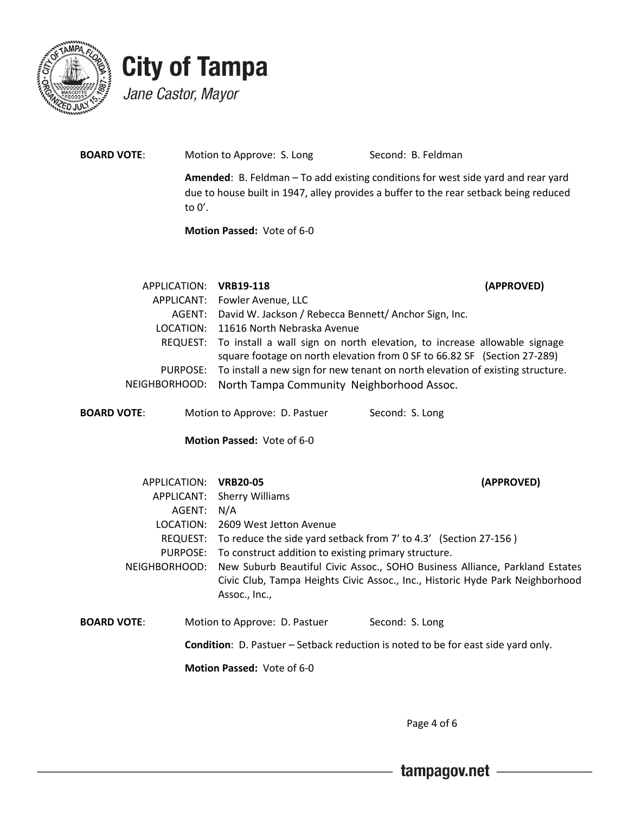

| <b>BOARD VOTE:</b> | Motion to Approve: S. Long        | Second: B. Feldman                                                                                                                                                                |
|--------------------|-----------------------------------|-----------------------------------------------------------------------------------------------------------------------------------------------------------------------------------|
|                    | to $0^{\prime}$ .                 | <b>Amended:</b> B. Feldman – To add existing conditions for west side yard and rear yard<br>due to house built in 1947, alley provides a buffer to the rear setback being reduced |
|                    | <b>Motion Passed: Vote of 6-0</b> |                                                                                                                                                                                   |
|                    |                                   |                                                                                                                                                                                   |
|                    | APPLICATION:<br><b>VRB19-118</b>  | (APPROVED)                                                                                                                                                                        |

| APPLICANT: Fowler Avenue, LLC                                                           |
|-----------------------------------------------------------------------------------------|
| AGENT: David W. Jackson / Rebecca Bennett/ Anchor Sign, Inc.                            |
| LOCATION: 11616 North Nebraska Avenue                                                   |
| REQUEST: To install a wall sign on north elevation, to increase allowable signage       |
| square footage on north elevation from 0 SF to 66.82 SF (Section 27-289)                |
| PURPOSE: To install a new sign for new tenant on north elevation of existing structure. |
| NEIGHBORHOOD: North Tampa Community Neighborhood Assoc.                                 |

**BOARD VOTE:** Motion to Approve: D. Pastuer Second: S. Long

**Motion Passed:** Vote of 6-0

| APPLICATION:       |  | <b>VRB20-05</b>                                                                                |                 | (APPROVED) |
|--------------------|--|------------------------------------------------------------------------------------------------|-----------------|------------|
| APPLICANT:         |  | Sherry Williams                                                                                |                 |            |
| AGENT:             |  | N/A                                                                                            |                 |            |
| LOCATION:          |  | 2609 West Jetton Avenue                                                                        |                 |            |
| REQUEST:           |  | To reduce the side yard setback from 7' to 4.3' (Section 27-156)                               |                 |            |
| PURPOSE:           |  | To construct addition to existing primary structure.                                           |                 |            |
| NEIGHBORHOOD:      |  | New Suburb Beautiful Civic Assoc., SOHO Business Alliance, Parkland Estates                    |                 |            |
|                    |  | Civic Club, Tampa Heights Civic Assoc., Inc., Historic Hyde Park Neighborhood<br>Assoc., Inc., |                 |            |
| <b>BOARD VOTE:</b> |  | Motion to Approve: D. Pastuer                                                                  | Second: S. Long |            |
|                    |  | <b>Condition:</b> D. Pastuer – Setback reduction is noted to be for east side yard only.       |                 |            |
|                    |  | <b>Motion Passed: Vote of 6-0</b>                                                              |                 |            |

Page 4 of 6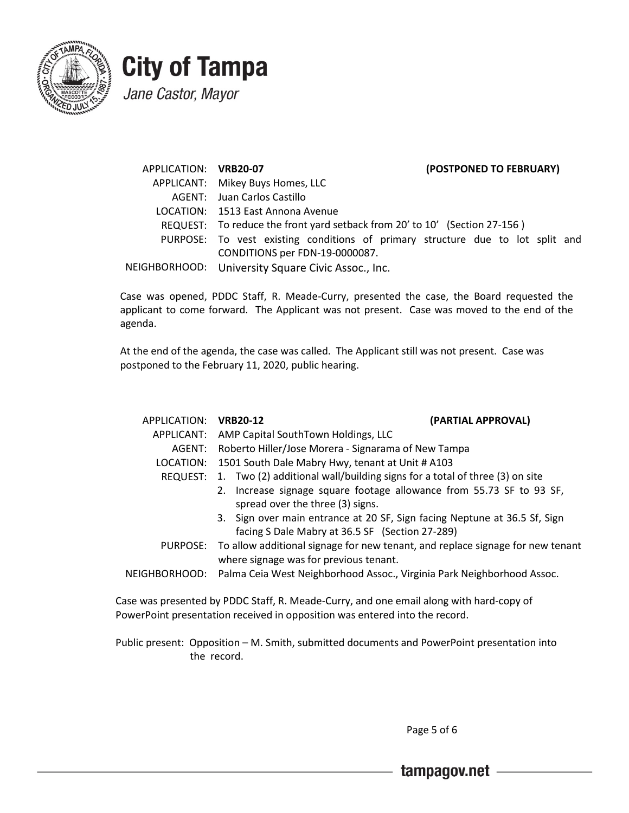

APPLICATION: **VRB20-07 (POSTPONED TO FEBRUARY)** APPLICANT: Mikey Buys Homes, LLC AGENT: Juan Carlos Castillo LOCATION: 1513 East Annona Avenue REQUEST: To reduce the front yard setback from 20' to 10' (Section 27-156 ) PURPOSE: To vest existing conditions of primary structure due to lot split and CONDITIONS per FDN-19-0000087. NEIGHBORHOOD: University Square Civic Assoc., Inc.

Case was opened, PDDC Staff, R. Meade-Curry, presented the case, the Board requested the applicant to come forward. The Applicant was not present. Case was moved to the end of the agenda.

At the end of the agenda, the case was called. The Applicant still was not present. Case was postponed to the February 11, 2020, public hearing.

| APPLICATION: VRB20-12 |                                                                                         | (PARTIAL APPROVAL) |  |
|-----------------------|-----------------------------------------------------------------------------------------|--------------------|--|
| APPLICANT:            | AMP Capital SouthTown Holdings, LLC                                                     |                    |  |
| AGENT:                | Roberto Hiller/Jose Morera - Signarama of New Tampa                                     |                    |  |
| LOCATION:             | 1501 South Dale Mabry Hwy, tenant at Unit # A103                                        |                    |  |
|                       | REQUEST: 1. Two (2) additional wall/building signs for a total of three (3) on site     |                    |  |
|                       | 2. Increase signage square footage allowance from 55.73 SF to 93 SF,                    |                    |  |
|                       | spread over the three (3) signs.                                                        |                    |  |
|                       | 3. Sign over main entrance at 20 SF, Sign facing Neptune at 36.5 Sf, Sign               |                    |  |
|                       | facing S Dale Mabry at 36.5 SF (Section 27-289)                                         |                    |  |
|                       | PURPOSE: To allow additional signage for new tenant, and replace signage for new tenant |                    |  |
|                       | where signage was for previous tenant.                                                  |                    |  |
|                       | NEIGHBORHOOD: Palma Ceia West Neighborhood Assoc., Virginia Park Neighborhood Assoc.    |                    |  |

Case was presented by PDDC Staff, R. Meade-Curry, and one email along with hard-copy of PowerPoint presentation received in opposition was entered into the record.

Public present: Opposition – M. Smith, submitted documents and PowerPoint presentation into the record.

Page 5 of 6